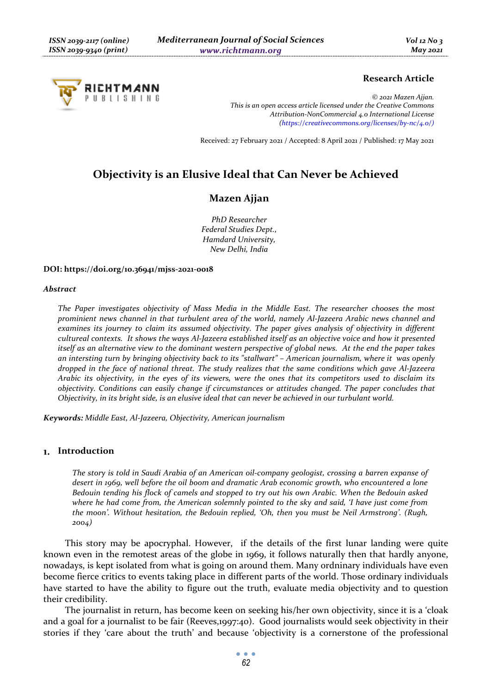

## **Research Article**

*© 2021 Mazen Ajjan. This is an open access article licensed under the Creative Commons Attribution-NonCommercial 4.0 International License (https://creativecommons.org/licenses/by-nc/4.0/)*

Received: 27 February 2021 / Accepted: 8 April 2021 / Published: 17 May 2021

# **Objectivity is an Elusive Ideal that Can Never be Achieved**

# **Mazen Ajjan**

*PhD Researcher Federal Studies Dept., Hamdard University, New Delhi, India* 

#### **DOI: https://doi.org/10.36941/mjss-2021-0018**

#### *Abstract*

*The Paper investigates objectivity of Mass Media in the Middle East. The researcher chooses the most prominient news channel in that turbulent area of the world, namely Al-Jazeera Arabic news channel and examines its journey to claim its assumed objectivity. The paper gives analysis of objectivity in different cultureal contexts. It shows the ways Al-Jazeera established itself as an objective voice and how it presented itself as an alternative view to the dominant western perspective of global news. At the end the paper takes an intersting turn by bringing objectivity back to its "stallwart" – American journalism, where it was openly dropped in the face of national threat. The study realizes that the same conditions which gave Al-Jazeera Arabic its objectivity, in the eyes of its viewers, were the ones that its competitors used to disclaim its objectivity. Conditions can easily change if circumstances or attitudes changed. The paper concludes that Objectivity, in its bright side, is an elusive ideal that can never be achieved in our turbulant world.* 

*Keywords: Middle East, Al-Jazeera, Objectivity, American journalism* 

#### **Introduction**

*The story is told in Saudi Arabia of an American oil-company geologist, crossing a barren expanse of desert in 1969, well before the oil boom and dramatic Arab economic growth, who encountered a lone Bedouin tending his flock of camels and stopped to try out his own Arabic. When the Bedouin asked where he had come from, the American solemnly pointed to the sky and said, 'I have just come from the moon'. Without hesitation, the Bedouin replied, 'Oh, then you must be Neil Armstrong'. (Rugh, 2004)* 

This story may be apocryphal. However, if the details of the first lunar landing were quite known even in the remotest areas of the globe in 1969, it follows naturally then that hardly anyone, nowadays, is kept isolated from what is going on around them. Many ordninary individuals have even become fierce critics to events taking place in different parts of the world. Those ordinary individuals have started to have the ability to figure out the truth, evaluate media objectivity and to question their credibility.

The journalist in return, has become keen on seeking his/her own objectivity, since it is a 'cloak and a goal for a journalist to be fair (Reeves,1997:40). Good journalists would seek objectivity in their stories if they 'care about the truth' and because 'objectivity is a cornerstone of the professional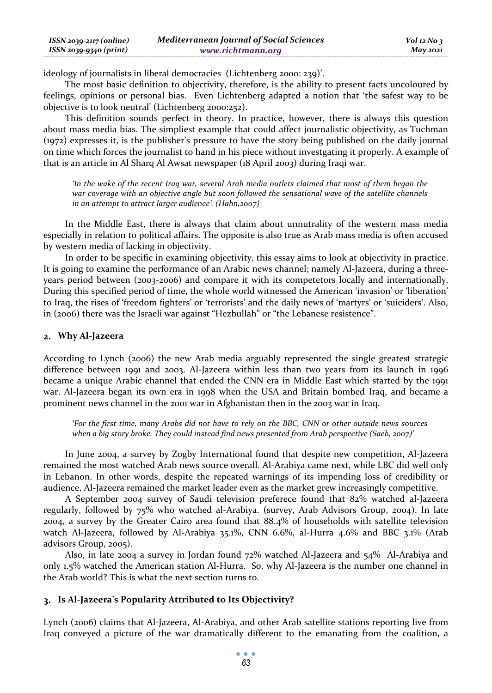| $ISSN 2039-2117 (online)$ | <b>Mediterranean Journal of Social Sciences</b> | $Vol$ 12 No 3   |
|---------------------------|-------------------------------------------------|-----------------|
| ISSN 2039-9340 (print)    | www.richtmann.org                               | <b>May 2021</b> |

ideology of journalists in liberal democracies (Lichtenberg 2000: 239)'.

The most basic definition to objectivity, therefore, is the ability to present facts uncoloured by feelings, opinions or personal bias. Even Lichtenberg adapted a notion that 'the safest way to be objective is to look neutral' (Lichtenberg 2000:252).

This definition sounds perfect in theory. In practice, however, there is always this question about mass media bias. The simpliest example that could affect journalistic objectivity, as Tuchman (1972) expresses it, is the publisher's pressure to have the story being published on the daily journal on time which forces the journalist to hand in his piece without investgating it properly. A example of that is an article in Al Sharq Al Awsat newspaper (18 April 2003) during Iraqi war.

*'In the wake of the recent Iraq war, several Arab media outlets claimed that most of them began the war coverage with an objective angle but soon followed the sensational wave of the satellite channels in an attempt to attract larger audience'. (Hahn,2007)* 

In the Middle East, there is always that claim about unnutrality of the western mass media especially in relation to political affairs. The opposite is also true as Arab mass media is often accused by western media of lacking in objectivity.

In order to be specific in examining objectivity, this essay aims to look at objectivity in practice. It is going to examine the performance of an Arabic news channel; namely Al-Jazeera, during a threeyears period between (2003-2006) and compare it with its competetors locally and internationally. During this specified period of time, the whole world witnessed the American 'invasion' or 'liberation' to Iraq, the rises of 'freedom fighters' or 'terrorists' and the daily news of 'martyrs' or 'suiciders'. Also, in (2006) there was the Israeli war against "Hezbullah" or "the Lebanese resistence".

### **Why Al-Jazeera**

According to Lynch (2006) the new Arab media arguably represented the single greatest strategic difference between 1991 and 2003. Al-Jazeera within less than two years from its launch in 1996 became a unique Arabic channel that ended the CNN era in Middle East which started by the 1991 war. Al-Jazeera began its own era in 1998 when the USA and Britain bombed Iraq, and became a prominent news channel in the 2001 war in Afghanistan then in the 2003 war in Iraq.

*'For the first time, many Arabs did not have to rely on the BBC, CNN or other outside news sources when a big story broke. They could instead find news presented from Arab perspective (Saeb, 2007)'* 

In June 2004, a survey by Zogby International found that despite new competition, Al-Jazeera remained the most watched Arab news source overall. Al-Arabiya came next, while LBC did well only in Lebanon. In other words, despite the repeated warnings of its impending loss of credibility or audience, Al-Jazeera remained the market leader even as the market grew increasingly competitive.

A September 2004 survey of Saudi television preferece found that 82% watched al-Jazeera regularly, followed by 75% who watched al-Arabiya. (survey, Arab Advisors Group, 2004). In late 2004, a survey by the Greater Cairo area found that 88.4% of households with satellite television watch Al-Jazeera, followed by Al-Arabiya 35.1%, CNN 6.6%, al-Hurra 4.6% and BBC 3.1% (Arab advisors Group, 2005).

Also, in late 2004 a survey in Jordan found 72% watched Al-Jazeera and 54% Al-Arabiya and only 1.5% watched the American station Al-Hurra. So, why Al-Jazeera is the number one channel in the Arab world? This is what the next section turns to.

## **Is Al-Jazeera's Popularity Attributed to Its Objectivity?**

Lynch (2006) claims that Al-Jazeera, Al-Arabiya, and other Arab satellite stations reporting live from Iraq conveyed a picture of the war dramatically different to the emanating from the coalition, a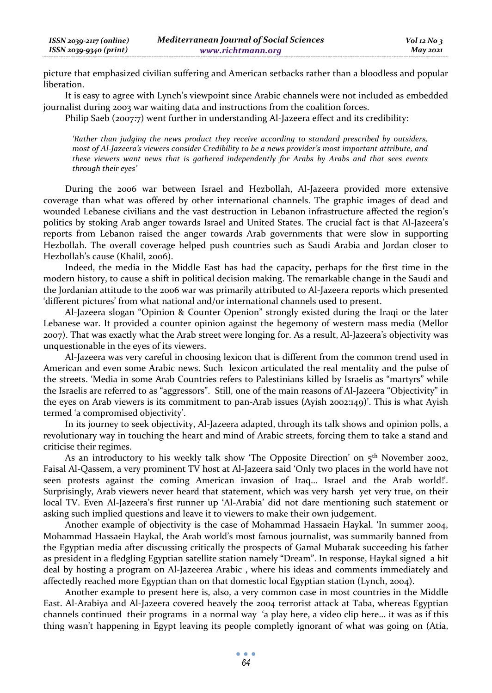picture that emphasized civilian suffering and American setbacks rather than a bloodless and popular liberation.

It is easy to agree with Lynch's viewpoint since Arabic channels were not included as embedded journalist during 2003 war waiting data and instructions from the coalition forces.

Philip Saeb (2007:7) went further in understanding Al-Jazeera effect and its credibility:

*'Rather than judging the news product they receive according to standard prescribed by outsiders, most of Al-Jazeera's viewers consider Credibility to be a news provider's most important attribute, and these viewers want news that is gathered independently for Arabs by Arabs and that sees events through their eyes'* 

During the 2006 war between Israel and Hezbollah, Al-Jazeera provided more extensive coverage than what was offered by other international channels. The graphic images of dead and wounded Lebanese civilians and the vast destruction in Lebanon infrastructure affected the region's politics by stoking Arab anger towards Israel and United States. The crucial fact is that Al-Jazeera's reports from Lebanon raised the anger towards Arab governments that were slow in supporting Hezbollah. The overall coverage helped push countries such as Saudi Arabia and Jordan closer to Hezbollah's cause (Khalil, 2006).

Indeed, the media in the Middle East has had the capacity, perhaps for the first time in the modern history, to cause a shift in political decision making. The remarkable change in the Saudi and the Jordanian attitude to the 2006 war was primarily attributed to Al-Jazeera reports which presented 'different pictures' from what national and/or international channels used to present.

Al-Jazeera slogan "Opinion & Counter Openion" strongly existed during the Iraqi or the later Lebanese war. It provided a counter opinion against the hegemony of western mass media (Mellor 2007). That was exactly what the Arab street were longing for. As a result, Al-Jazeera's objectivity was unquestionable in the eyes of its viewers.

Al-Jazeera was very careful in choosing lexicon that is different from the common trend used in American and even some Arabic news. Such lexicon articulated the real mentality and the pulse of the streets. 'Media in some Arab Countries refers to Palestinians killed by Israelis as "martyrs" while the Israelis are referred to as "aggressors". Still, one of the main reasons of Al-Jazeera "Objectivity" in the eyes on Arab viewers is its commitment to pan-Arab issues (Ayish 2002:149)'. This is what Ayish termed 'a compromised objectivity'.

In its journey to seek objectivity, Al-Jazeera adapted, through its talk shows and opinion polls, a revolutionary way in touching the heart and mind of Arabic streets, forcing them to take a stand and criticise their regimes.

As an introductory to his weekly talk show 'The Opposite Direction' on  $5<sup>th</sup>$  November 2002, Faisal Al-Qassem, a very prominent TV host at Al-Jazeera said 'Only two places in the world have not seen protests against the coming American invasion of Iraq... Israel and the Arab world!'. Surprisingly, Arab viewers never heard that statement, which was very harsh yet very true, on their local TV. Even Al-Jazeera's first runner up 'Al-Arabia' did not dare mentioning such statement or asking such implied questions and leave it to viewers to make their own judgement.

Another example of objectivity is the case of Mohammad Hassaein Haykal. 'In summer 2004, Mohammad Hassaein Haykal, the Arab world's most famous journalist, was summarily banned from the Egyptian media after discussing critically the prospects of Gamal Mubarak succeeding his father as president in a fledgling Egyptian satellite station namely "Dream". In response, Haykal signed a hit deal by hosting a program on Al-Jazeerea Arabic , where his ideas and comments immediately and affectedly reached more Egyptian than on that domestic local Egyptian station (Lynch, 2004).

Another example to present here is, also, a very common case in most countries in the Middle East. Al-Arabiya and Al-Jazeera covered heavely the 2004 terrorist attack at Taba, whereas Egyptian channels continued their programs in a normal way 'a play here, a video clip here... it was as if this thing wasn't happening in Egypt leaving its people completly ignorant of what was going on (Atia,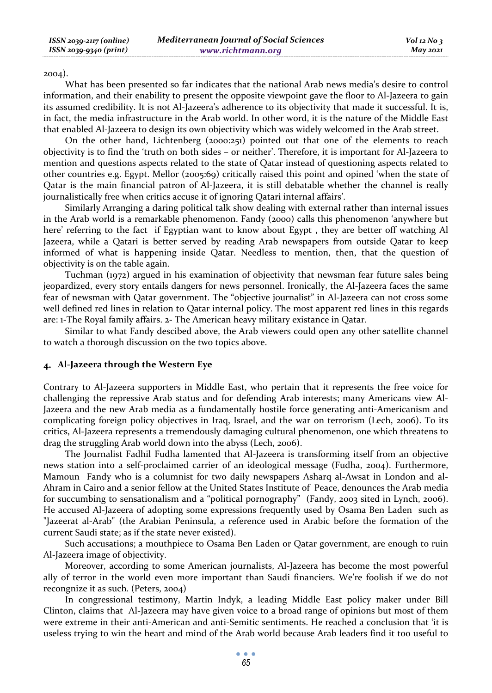2004).

What has been presented so far indicates that the national Arab news media's desire to control information, and their enability to present the opposite viewpoint gave the floor to Al-Jazeera to gain its assumed credibility. It is not Al-Jazeera's adherence to its objectivity that made it successful. It is, in fact, the media infrastructure in the Arab world. In other word, it is the nature of the Middle East that enabled Al-Jazeera to design its own objectivity which was widely welcomed in the Arab street.

On the other hand, Lichtenberg (2000:251) pointed out that one of the elements to reach objectivity is to find the 'truth on both sides – or neither'. Therefore, it is important for Al-Jazeera to mention and questions aspects related to the state of Qatar instead of questioning aspects related to other countries e.g. Egypt. Mellor (2005:69) critically raised this point and opined 'when the state of Qatar is the main financial patron of Al-Jazeera, it is still debatable whether the channel is really journalistically free when critics accuse it of ignoring Qatari internal affairs'.

Similarly Arranging a daring political talk show dealing with external rather than internal issues in the Arab world is a remarkable phenomenon. Fandy (2000) calls this phenomenon 'anywhere but here' referring to the fact if Egyptian want to know about Egypt , they are better off watching Al Jazeera, while a Qatari is better served by reading Arab newspapers from outside Qatar to keep informed of what is happening inside Qatar. Needless to mention, then, that the question of objectivity is on the table again.

Tuchman (1972) argued in his examination of objectivity that newsman fear future sales being jeopardized, every story entails dangers for news personnel. Ironically, the Al-Jazeera faces the same fear of newsman with Qatar government. The "objective journalist" in Al-Jazeera can not cross some well defined red lines in relation to Qatar internal policy. The most apparent red lines in this regards are: 1-The Royal family affairs. 2- The American heavy military existance in Qatar.

Similar to what Fandy descibed above, the Arab viewers could open any other satellite channel to watch a thorough discussion on the two topics above.

## **Al-Jazeera through the Western Eye**

Contrary to Al-Jazeera supporters in Middle East, who pertain that it represents the free voice for challenging the repressive Arab status and for defending Arab interests; many Americans view Al-Jazeera and the new Arab media as a fundamentally hostile force generating anti-Americanism and complicating foreign policy objectives in Iraq, Israel, and the war on terrorism (Lech, 2006). To its critics, Al-Jazeera represents a tremendously damaging cultural phenomenon, one which threatens to drag the struggling Arab world down into the abyss (Lech, 2006).

The Journalist Fadhil Fudha lamented that Al-Jazeera is transforming itself from an objective news station into a self-proclaimed carrier of an ideological message (Fudha, 2004). Furthermore, Mamoun Fandy who is a columnist for two daily newspapers Asharq al-Awsat in London and al-Ahram in Cairo and a senior fellow at the United States Institute of Peace, denounces the Arab media for succumbing to sensationalism and a "political pornography" (Fandy, 2003 sited in Lynch, 2006). He accused Al-Jazeera of adopting some expressions frequently used by Osama Ben Laden such as "Jazeerat al-Arab" (the Arabian Peninsula, a reference used in Arabic before the formation of the current Saudi state; as if the state never existed).

Such accusations; a mouthpiece to Osama Ben Laden or Qatar government, are enough to ruin Al-Jazeera image of objectivity.

Moreover, according to some American journalists, Al-Jazeera has become the most powerful ally of terror in the world even more important than Saudi financiers. We're foolish if we do not recongnize it as such*.* (Peters, 2004)

In congressional testimony, Martin Indyk, a leading Middle East policy maker under Bill Clinton, claims that Al-Jazeera may have given voice to a broad range of opinions but most of them were extreme in their anti-American and anti-Semitic sentiments. He reached a conclusion that 'it is useless trying to win the heart and mind of the Arab world because Arab leaders find it too useful to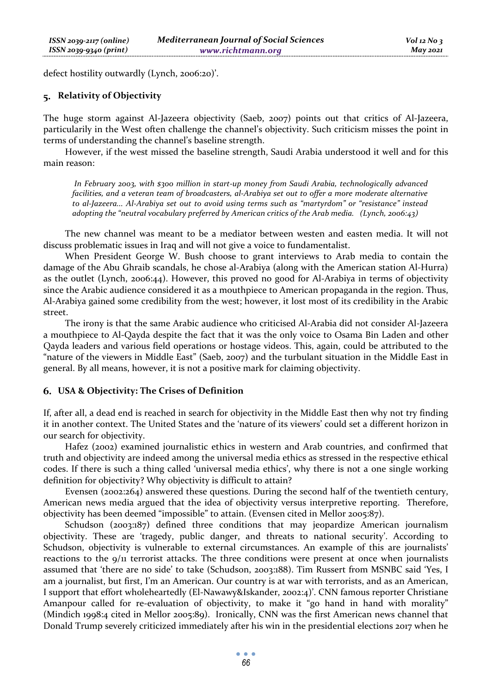defect hostility outwardly (Lynch, 2006:20)'.

## **Relativity of Objectivity**

The huge storm against Al-Jazeera objectivity (Saeb, 2007) points out that critics of Al-Jazeera, particularily in the West often challenge the channel's objectivity. Such criticism misses the point in terms of understanding the channel's baseline strength.

However, if the west missed the baseline strength, Saudi Arabia understood it well and for this main reason:

 *In February 2003, with \$300 million in start-up money from Saudi Arabia, technologically advanced facilities, and a veteran team of broadcasters, al-Arabiya set out to offer a more moderate alternative to al-Jazeera... Al-Arabiya set out to avoid using terms such as "martyrdom" or "resistance" instead adopting the "neutral vocabulary preferred by American critics of the Arab media. (Lynch, 2006:43)* 

The new channel was meant to be a mediator between westen and easten media. It will not discuss problematic issues in Iraq and will not give a voice to fundamentalist.

When President George W. Bush choose to grant interviews to Arab media to contain the damage of the Abu Ghraib scandals, he chose al-Arabiya (along with the American station Al-Hurra) as the outlet (Lynch, 2006:44). However, this proved no good for Al-Arabiya in terms of objectivity since the Arabic audience considered it as a mouthpiece to American propaganda in the region. Thus, Al-Arabiya gained some credibility from the west; however, it lost most of its credibility in the Arabic street.

The irony is that the same Arabic audience who criticised Al-Arabia did not consider Al-Jazeera a mouthpiece to Al-Qayda despite the fact that it was the only voice to Osama Bin Laden and other Qayda leaders and various field operations or hostage videos. This, again, could be attributed to the "nature of the viewers in Middle East" (Saeb, 2007) and the turbulant situation in the Middle East in general. By all means, however, it is not a positive mark for claiming objectivity.

#### **USA & Objectivity: The Crises of Definition**

If, after all, a dead end is reached in search for objectivity in the Middle East then why not try finding it in another context. The United States and the 'nature of its viewers' could set a different horizon in our search for objectivity.

Hafez (2002) examined journalistic ethics in western and Arab countries, and confirmed that truth and objectivity are indeed among the universal media ethics as stressed in the respective ethical codes. If there is such a thing called 'universal media ethics', why there is not a one single working definition for objectivity? Why objectivity is difficult to attain?

Evensen (2002:264) answered these questions. During the second half of the twentieth century, American news media argued that the idea of objectivity versus interpretive reporting. Therefore, objectivity has been deemed "impossible" to attain. (Evensen cited in Mellor 2005:87).

Schudson (2003:187) defined three conditions that may jeopardize American journalism objectivity. These are 'tragedy, public danger, and threats to national security'. According to Schudson, objectivity is vulnerable to external circumstances. An example of this are journalists' reactions to the 9/11 terrorist attacks. The three conditions were present at once when journalists assumed that 'there are no side' to take (Schudson, 2003:188). Tim Russert from MSNBC said 'Yes, I am a journalist, but first, I'm an American. Our country is at war with terrorists, and as an American, I support that effort wholeheartedly (El-Nawawy&Iskander, 2002:4)'. CNN famous reporter Christiane Amanpour called for re-evaluation of objectivity, to make it "go hand in hand with morality" (Mindich 1998:4 cited in Mellor 2005:89). Ironically, CNN was the first American news channel that Donald Trump severely criticized immediately after his win in the presidential elections 2017 when he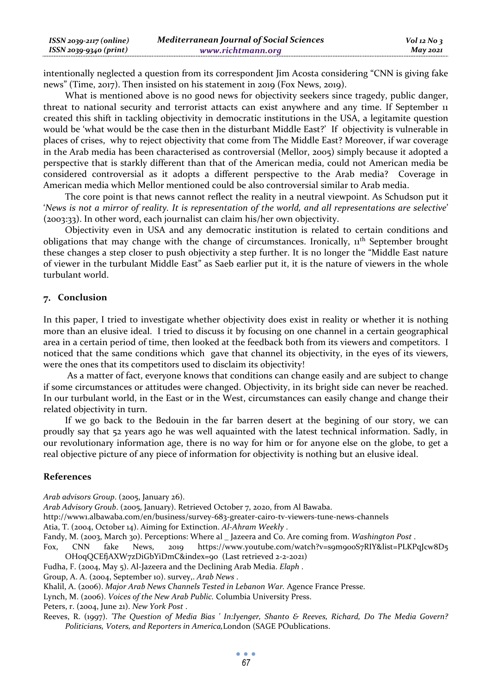| ISSN 2039-2117 (online) | <b>Mediterranean Journal of Social Sciences</b> | $Vol$ 12 No 3 |
|-------------------------|-------------------------------------------------|---------------|
| ISSN 2039-9340 (print)  | www.richtmann.org                               | $M$ ay 2021   |

intentionally neglected a question from its correspondent Jim Acosta considering "CNN is giving fake news" (Time, 2017). Then insisted on his statement in 2019 (Fox News, 2019).

What is mentioned above is no good news for objectivity seekers since tragedy, public danger, threat to national security and terrorist attacts can exist anywhere and any time. If September 11 created this shift in tackling objectivity in democratic institutions in the USA, a legitamite question would be 'what would be the case then in the disturbant Middle East?' If objectivity is vulnerable in places of crises, why to reject objectivity that come from The Middle East? Moreover, if war coverage in the Arab media has been characterised as controversial (Mellor, 2005) simply because it adopted a perspective that is starkly different than that of the American media, could not American media be considered controversial as it adopts a different perspective to the Arab media? Coverage in American media which Mellor mentioned could be also controversial similar to Arab media.

The core point is that news cannot reflect the reality in a neutral viewpoint. As Schudson put it '*News is not a mirror of reality. It is representation of the world, and all representations are selective*' (2003:33). In other word, each journalist can claim his/her own objectivity.

Objectivity even in USA and any democratic institution is related to certain conditions and obligations that may change with the change of circumstances. Ironically, 11th September brought these changes a step closer to push objectivity a step further. It is no longer the "Middle East nature of viewer in the turbulant Middle East" as Saeb earlier put it, it is the nature of viewers in the whole turbulant world.

## 7. Conclusion

In this paper, I tried to investigate whether objectivity does exist in reality or whether it is nothing more than an elusive ideal. I tried to discuss it by focusing on one channel in a certain geographical area in a certain period of time, then looked at the feedback both from its viewers and competitors. I noticed that the same conditions which gave that channel its objectivity, in the eyes of its viewers, were the ones that its competitors used to disclaim its objectivity!

 As a matter of fact, everyone knows that conditions can change easily and are subject to change if some circumstances or attitudes were changed. Objectivity, in its bright side can never be reached. In our turbulant world, in the East or in the West, circumstances can easily change and change their related objectivity in turn.

If we go back to the Bedouin in the far barren desert at the begining of our story, we can proudly say that 52 years ago he was well aquainted with the latest technical information. Sadly, in our revolutionary information age, there is no way for him or for anyone else on the globe, to get a real objective picture of any piece of information for objectivity is nothing but an elusive ideal.

#### **References**

*Arab advisors Group*. (2005, January 26).

*Arab Advisory Groub*. (2005, January). Retrieved October 7, 2020, from Al Bawaba.

http://www1.albawaba.com/en/business/survey-683-greater-cairo-tv-viewers-tune-news-channels

Atia, T. (2004, October 14). Aiming for Extinction. *Al-Ahram Weekly* .

Fandy, M. (2003, March 30). Perceptions: Where al \_ Jazeera and Co. Are coming from. *Washington Post* .

Fox, CNN fake News, 2019 https://www.youtube.com/watch?v=s9m9ooS7RIY&list=PLKPqJcw8D5 OH0qQCEfjAXW7zDiGbYiDmC&index=90 (Last retrieved 2-2-2021)

Fudha, F. (2004, May 5). Al-Jazeera and the Declining Arab Media. *Elaph* .

Group, A. A. (2004, September 10). survey,. *Arab News* .

Khalil, A. (2006). *Major Arab News Channels Tested in Lebanon War.* Agence France Presse.

Lynch, M. (2006). *Voices of the New Arab Public.* Columbia University Press.

Peters, r. (2004, June 21). *New York Post* .

Reeves, R. (1997). *'The Question of Media Bias ' In:Iyenger, Shanto & Reeves, Richard, Do The Media Govern? Politicians, Voters, and Reporters in America,*London (SAGE POublications.